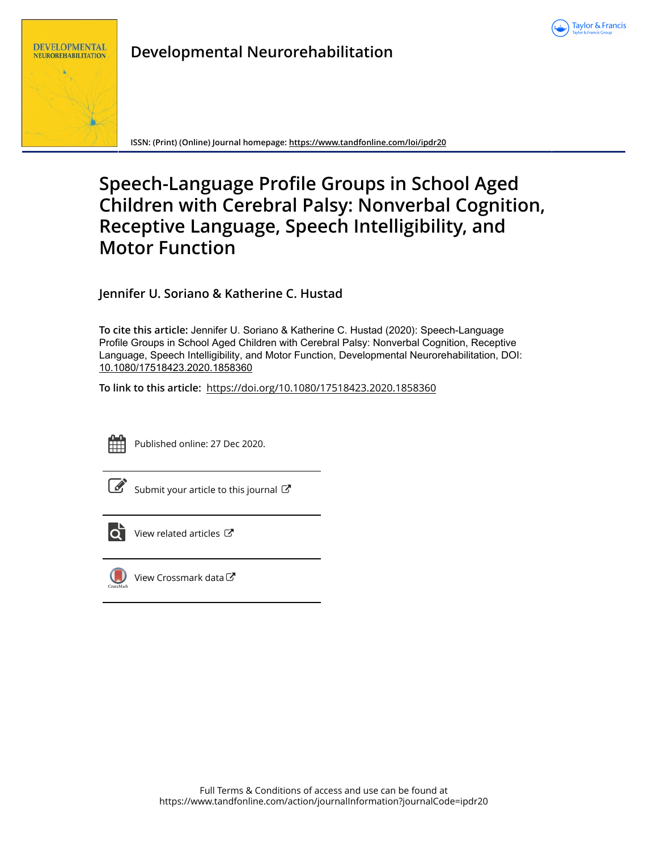



# **Developmental Neurorehabilitation**

**ISSN: (Print) (Online) Journal homepage:<https://www.tandfonline.com/loi/ipdr20>**

# **Speech-Language Profile Groups in School Aged Children with Cerebral Palsy: Nonverbal Cognition, Receptive Language, Speech Intelligibility, and Motor Function**

**Jennifer U. Soriano & Katherine C. Hustad**

**To cite this article:** Jennifer U. Soriano & Katherine C. Hustad (2020): Speech-Language Profile Groups in School Aged Children with Cerebral Palsy: Nonverbal Cognition, Receptive Language, Speech Intelligibility, and Motor Function, Developmental Neurorehabilitation, DOI: [10.1080/17518423.2020.1858360](https://www.tandfonline.com/action/showCitFormats?doi=10.1080/17518423.2020.1858360)

**To link to this article:** <https://doi.org/10.1080/17518423.2020.1858360>



Published online: 27 Dec 2020.



 $\overline{\mathscr{L}}$  [Submit your article to this journal](https://www.tandfonline.com/action/authorSubmission?journalCode=ipdr20&show=instructions)  $\mathbb{C}^{\bullet}$ 



 $\overrightarrow{O}$  [View related articles](https://www.tandfonline.com/doi/mlt/10.1080/17518423.2020.1858360)  $\overrightarrow{C}$ 



[View Crossmark data](http://crossmark.crossref.org/dialog/?doi=10.1080/17518423.2020.1858360&domain=pdf&date_stamp=2020-12-27) $C$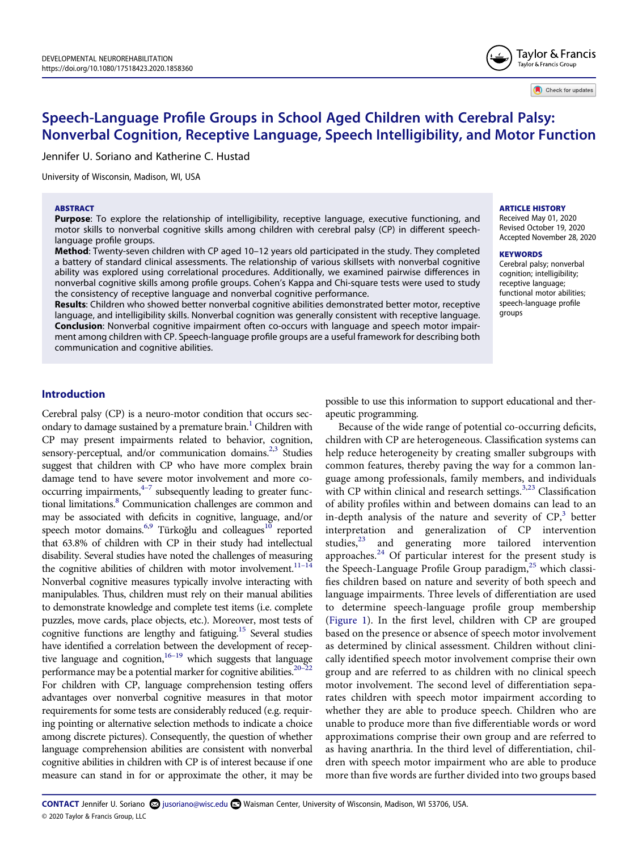

Check for updates

# **Speech-Language Profile Groups in School Aged Children with Cerebral Palsy: Nonverbal Cognition, Receptive Language, Speech Intelligibility, and Motor Function**

Jennifer U. Soriano and Katherine C. Hustad

University of Wisconsin, Madison, WI, USA

#### **ABSTRACT**

**Purpose**: To explore the relationship of intelligibility, receptive language, executive functioning, and motor skills to nonverbal cognitive skills among children with cerebral palsy (CP) in different speechlanguage profile groups.

**Method**: Twenty-seven children with CP aged 10–12 years old participated in the study. They completed a battery of standard clinical assessments. The relationship of various skillsets with nonverbal cognitive ability was explored using correlational procedures. Additionally, we examined pairwise differences in nonverbal cognitive skills among profile groups. Cohen's Kappa and Chi-square tests were used to study the consistency of receptive language and nonverbal cognitive performance.

**Results**: Children who showed better nonverbal cognitive abilities demonstrated better motor, receptive language, and intelligibility skills. Nonverbal cognition was generally consistent with receptive language. **Conclusion**: Nonverbal cognitive impairment often co-occurs with language and speech motor impairment among children with CP. Speech-language profile groups are a useful framework for describing both communication and cognitive abilities.

#### **ARTICLE HISTORY**

Received May 01, 2020 Revised October 19, 2020 Accepted November 28, 2020

#### **KEYWORDS**

Cerebral palsy; nonverbal cognition; intelligibility; receptive language; functional motor abilities; speech-language profile groups

# **Introduction**

<span id="page-1-9"></span><span id="page-1-8"></span><span id="page-1-7"></span><span id="page-1-6"></span><span id="page-1-5"></span><span id="page-1-4"></span><span id="page-1-3"></span><span id="page-1-1"></span><span id="page-1-0"></span>Cerebral palsy (CP) is a neuro-motor condition that occurs secondary to damage sustained by a premature brain.<sup>1</sup> Children with CP may present impairments related to behavior, cognition, sensory-perceptual, and/or communication domains.<sup>2,3</sup> Studies suggest that children with CP who have more complex brain damage tend to have severe motor involvement and more cooccurring impairments, $4-7$  subsequently leading to greater functional limitations.<sup>8</sup> Communication challenges are common and may be associated with deficits in cognitive, language, and/or speech motor domains.<sup>6[,9](#page-10-6)</sup> Türkoğlu and colleagues<sup>10</sup> reported that 63.8% of children with CP in their study had intellectual disability. Several studies have noted the challenges of measuring the cognitive abilities of children with motor involvement.<sup>11-14</sup> Nonverbal cognitive measures typically involve interacting with manipulables. Thus, children must rely on their manual abilities to demonstrate knowledge and complete test items (i.e. complete puzzles, move cards, place objects, etc.). Moreover, most tests of cognitive functions are lengthy and fatiguing.<sup>15</sup> Several studies have identified a correlation between the development of receptive language and cognition, $16-19$  which suggests that language performance may be a potential marker for cognitive abilities.<sup>20-2</sup> For children with CP, language comprehension testing offers advantages over nonverbal cognitive measures in that motor requirements for some tests are considerably reduced (e.g. requiring pointing or alternative selection methods to indicate a choice among discrete pictures). Consequently, the question of whether language comprehension abilities are consistent with nonverbal cognitive abilities in children with CP is of interest because if one measure can stand in for or approximate the other, it may be

possible to use this information to support educational and therapeutic programming.

<span id="page-1-12"></span><span id="page-1-11"></span><span id="page-1-10"></span><span id="page-1-2"></span>Because of the wide range of potential co-occurring deficits, children with CP are heterogeneous. Classification systems can help reduce heterogeneity by creating smaller subgroups with common features, thereby paving the way for a common language among professionals, family members, and individuals with CP within clinical and research settings.<sup>[3](#page-10-2)[,23](#page-11-2)</sup> Classification of ability profiles within and between domains can lead to an in-depth analysis of the nature and severity of  $\text{CP}^3$ , better interpretation and generalization of CP intervention studies, $^{23}$  and generating more tailored intervention approaches.<sup>[24](#page-11-3)</sup> Of particular interest for the present study is the Speech-Language Profile Group paradigm,<sup>25</sup> which classifies children based on nature and severity of both speech and language impairments. Three levels of differentiation are used to determine speech-language profile group membership [\(Figure 1\)](#page-2-0). In the first level, children with CP are grouped based on the presence or absence of speech motor involvement as determined by clinical assessment. Children without clinically identified speech motor involvement comprise their own group and are referred to as children with no clinical speech motor involvement. The second level of differentiation separates children with speech motor impairment according to whether they are able to produce speech. Children who are unable to produce more than five differentiable words or word approximations comprise their own group and are referred to as having anarthria. In the third level of differentiation, children with speech motor impairment who are able to produce more than five words are further divided into two groups based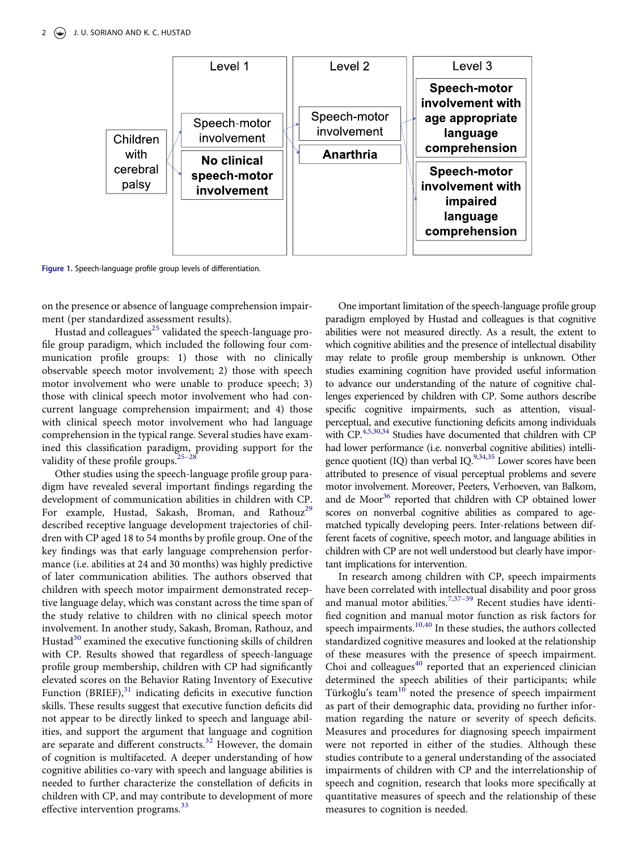<span id="page-2-0"></span>

**Figure 1.** Speech-language profile group levels of differentiation.

on the presence or absence of language comprehension impairment (per standardized assessment results).

Hustad and colleagues<sup>25</sup> validated the speech-language profile group paradigm, which included the following four communication profile groups: 1) those with no clinically observable speech motor involvement; 2) those with speech motor involvement who were unable to produce speech; 3) those with clinical speech motor involvement who had concurrent language comprehension impairment; and 4) those with clinical speech motor involvement who had language comprehension in the typical range. Several studies have examined this classification paradigm, providing support for the validity of these profile groups. $25-28$ 

<span id="page-2-6"></span><span id="page-2-5"></span><span id="page-2-4"></span><span id="page-2-3"></span>Other studies using the speech-language profile group paradigm have revealed several important findings regarding the development of communication abilities in children with CP. For example, Hustad, Sakash, Broman, and Rathouz<sup>[29](#page-11-5)</sup> described receptive language development trajectories of children with CP aged 18 to 54 months by profile group. One of the key findings was that early language comprehension performance (i.e. abilities at 24 and 30 months) was highly predictive of later communication abilities. The authors observed that children with speech motor impairment demonstrated receptive language delay, which was constant across the time span of the study relative to children with no clinical speech motor involvement. In another study, Sakash, Broman, Rathouz, and Hustad $30$  examined the executive functioning skills of children with CP. Results showed that regardless of speech-language profile group membership, children with CP had significantly elevated scores on the Behavior Rating Inventory of Executive Function  $(BRIEF)$ ,<sup>31</sup> indicating deficits in executive function skills. These results suggest that executive function deficits did not appear to be directly linked to speech and language abilities, and support the argument that language and cognition are separate and different constructs.<sup>32</sup> However, the domain of cognition is multifaceted. A deeper understanding of how cognitive abilities co-vary with speech and language abilities is needed to further characterize the constellation of deficits in children with CP, and may contribute to development of more effective intervention programs.<sup>33</sup>

<span id="page-2-1"></span>One important limitation of the speech-language profile group paradigm employed by Hustad and colleagues is that cognitive abilities were not measured directly. As a result, the extent to which cognitive abilities and the presence of intellectual disability may relate to profile group membership is unknown. Other studies examining cognition have provided useful information to advance our understanding of the nature of cognitive challenges experienced by children with CP. Some authors describe specific cognitive impairments, such as attention, visualperceptual, and executive functioning deficits among individuals with CP.<sup>4[,5,](#page-10-10)[30](#page-11-6)[,34](#page-11-10)</sup> Studies have documented that children with CP had lower performance (i.e. nonverbal cognitive abilities) intelligence quotient (IQ) than verbal IQ. $^{9,34,35}$  $^{9,34,35}$  $^{9,34,35}$  $^{9,34,35}$  $^{9,34,35}$  Lower scores have been attributed to presence of visual perceptual problems and severe motor involvement. Moreover, Peeters, Verhoeven, van Balkom, and de Moor<sup>[36](#page-11-12)</sup> reported that children with CP obtained lower scores on nonverbal cognitive abilities as compared to agematched typically developing peers. Inter-relations between different facets of cognitive, speech motor, and language abilities in children with CP are not well understood but clearly have important implications for intervention.

<span id="page-2-9"></span><span id="page-2-8"></span><span id="page-2-7"></span><span id="page-2-2"></span>In research among children with CP, speech impairments have been correlated with intellectual disability and poor gross and manual motor abilities.<sup>[7,](#page-10-11)37-39</sup> Recent studies have identified cognition and manual motor function as risk factors for speech impairments.<sup>[10](#page-10-7)[,40](#page-11-14)</sup> In these studies, the authors collected standardized cognitive measures and looked at the relationship of these measures with the presence of speech impairment. Choi and colleagues $40$  reported that an experienced clinician determined the speech abilities of their participants; while Türkoğlu's team<sup>10</sup> noted the presence of speech impairment as part of their demographic data, providing no further information regarding the nature or severity of speech deficits. Measures and procedures for diagnosing speech impairment were not reported in either of the studies. Although these studies contribute to a general understanding of the associated impairments of children with CP and the interrelationship of speech and cognition, research that looks more specifically at quantitative measures of speech and the relationship of these measures to cognition is needed.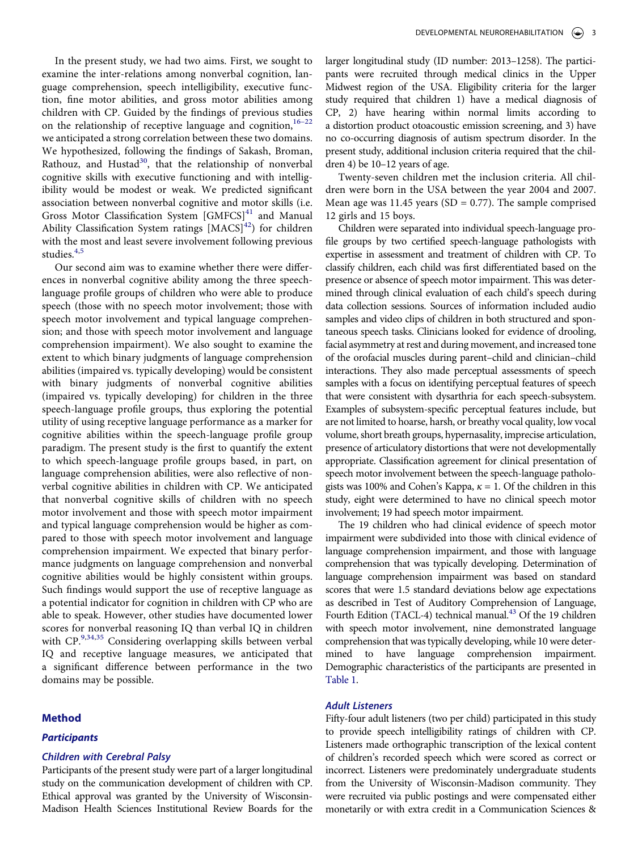In the present study, we had two aims. First, we sought to examine the inter-relations among nonverbal cognition, language comprehension, speech intelligibility, executive function, fine motor abilities, and gross motor abilities among children with CP. Guided by the findings of previous studies on the relationship of receptive language and cognition,  $16-22$ we anticipated a strong correlation between these two domains. We hypothesized, following the findings of Sakash, Broman, Rathouz, and Hustad<sup>[30](#page-11-6)</sup>, that the relationship of nonverbal cognitive skills with executive functioning and with intelligibility would be modest or weak. We predicted significant association between nonverbal cognitive and motor skills (i.e. Gross Motor Classification System [GMFCS]<sup>41</sup> and Manual Ability Classification System ratings  $[MACS]^{42}$  $[MACS]^{42}$  $[MACS]^{42}$  for children with the most and least severe involvement following previous studies.<sup>4[,5](#page-10-10)</sup>

<span id="page-3-1"></span><span id="page-3-0"></span>Our second aim was to examine whether there were differences in nonverbal cognitive ability among the three speechlanguage profile groups of children who were able to produce speech (those with no speech motor involvement; those with speech motor involvement and typical language comprehension; and those with speech motor involvement and language comprehension impairment). We also sought to examine the extent to which binary judgments of language comprehension abilities (impaired vs. typically developing) would be consistent with binary judgments of nonverbal cognitive abilities (impaired vs. typically developing) for children in the three speech-language profile groups, thus exploring the potential utility of using receptive language performance as a marker for cognitive abilities within the speech-language profile group paradigm. The present study is the first to quantify the extent to which speech-language profile groups based, in part, on language comprehension abilities, were also reflective of nonverbal cognitive abilities in children with CP. We anticipated that nonverbal cognitive skills of children with no speech motor involvement and those with speech motor impairment and typical language comprehension would be higher as compared to those with speech motor involvement and language comprehension impairment. We expected that binary performance judgments on language comprehension and nonverbal cognitive abilities would be highly consistent within groups. Such findings would support the use of receptive language as a potential indicator for cognition in children with CP who are able to speak. However, other studies have documented lower scores for nonverbal reasoning IQ than verbal IQ in children with CP.<sup>[9,](#page-10-6)[34](#page-11-10),35</sup> Considering overlapping skills between verbal IQ and receptive language measures, we anticipated that a significant difference between performance in the two domains may be possible.

#### **Method**

#### *Participants*

## *Children with Cerebral Palsy*

Participants of the present study were part of a larger longitudinal study on the communication development of children with CP. Ethical approval was granted by the University of Wisconsin-Madison Health Sciences Institutional Review Boards for the larger longitudinal study (ID number: 2013–1258). The participants were recruited through medical clinics in the Upper Midwest region of the USA. Eligibility criteria for the larger study required that children 1) have a medical diagnosis of CP, 2) have hearing within normal limits according to a distortion product otoacoustic emission screening, and 3) have no co-occurring diagnosis of autism spectrum disorder. In the present study, additional inclusion criteria required that the children 4) be 10–12 years of age.

Twenty-seven children met the inclusion criteria. All children were born in the USA between the year 2004 and 2007. Mean age was 11.45 years (SD =  $0.77$ ). The sample comprised 12 girls and 15 boys.

Children were separated into individual speech-language profile groups by two certified speech-language pathologists with expertise in assessment and treatment of children with CP. To classify children, each child was first differentiated based on the presence or absence of speech motor impairment. This was determined through clinical evaluation of each child's speech during data collection sessions. Sources of information included audio samples and video clips of children in both structured and spontaneous speech tasks. Clinicians looked for evidence of drooling, facial asymmetry at rest and during movement, and increased tone of the orofacial muscles during parent–child and clinician–child interactions. They also made perceptual assessments of speech samples with a focus on identifying perceptual features of speech that were consistent with dysarthria for each speech-subsystem. Examples of subsystem-specific perceptual features include, but are not limited to hoarse, harsh, or breathy vocal quality, low vocal volume, short breath groups, hypernasality, imprecise articulation, presence of articulatory distortions that were not developmentally appropriate. Classification agreement for clinical presentation of speech motor involvement between the speech-language pathologists was 100% and Cohen's Kappa,  $\kappa = 1$ . Of the children in this study, eight were determined to have no clinical speech motor involvement; 19 had speech motor impairment.

<span id="page-3-2"></span>The 19 children who had clinical evidence of speech motor impairment were subdivided into those with clinical evidence of language comprehension impairment, and those with language comprehension that was typically developing. Determination of language comprehension impairment was based on standard scores that were 1.5 standard deviations below age expectations as described in Test of Auditory Comprehension of Language, Fourth Edition (TACL-4) technical manual.<sup>[43](#page-11-17)</sup> Of the 19 children with speech motor involvement, nine demonstrated language comprehension that was typically developing, while 10 were determined to have language comprehension impairment. Demographic characteristics of the participants are presented in [Table 1.](#page-4-0)

#### *Adult Listeners*

Fifty-four adult listeners (two per child) participated in this study to provide speech intelligibility ratings of children with CP. Listeners made orthographic transcription of the lexical content of children's recorded speech which were scored as correct or incorrect. Listeners were predominately undergraduate students from the University of Wisconsin-Madison community. They were recruited via public postings and were compensated either monetarily or with extra credit in a Communication Sciences &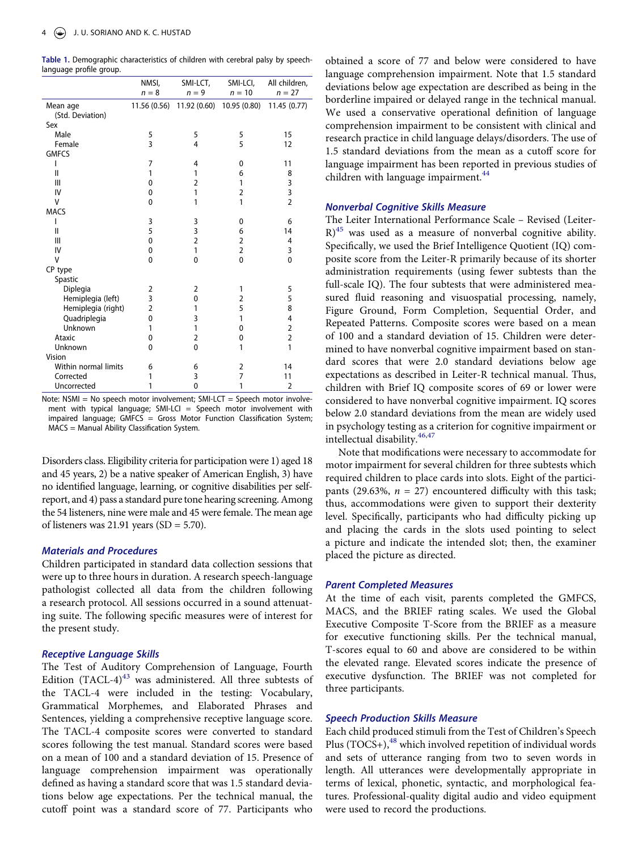<span id="page-4-0"></span>**Table 1.** Demographic characteristics of children with cerebral palsy by speechlanguage profile group.

|                      | NMSI,          | SMI-LCT,       | SMI-LCI,       | All children,  |
|----------------------|----------------|----------------|----------------|----------------|
|                      | $n = 8$        | $n = 9$        | $n = 10$       | $n = 27$       |
| Mean age             | 11.56 (0.56)   | 11.92 (0.60)   | 10.95 (0.80)   | 11.45 (0.77)   |
| (Std. Deviation)     |                |                |                |                |
| Sex                  |                |                |                |                |
| Male                 | 5              | 5              | 5              | 15             |
| Female               | 3              | 4              | 5              | 12             |
| <b>GMFCS</b>         |                |                |                |                |
| ı                    | 7              | 4              | 0              | 11             |
| Ш                    | 1              | 1              | 6              | 8              |
| Ш                    | $\mathbf{0}$   | 2              | 1              | 3              |
| IV                   | 0              | 1              | $\overline{2}$ | 3              |
| v                    | 0              | 1              | 1              | $\overline{2}$ |
| <b>MACS</b>          |                |                |                |                |
| ı                    | 3              | 3              | 0              | 6              |
| $\mathbf{I}$         | 5              | 3              | 6              | 14             |
| Ш                    | $\mathbf{0}$   | $\overline{2}$ | $\overline{2}$ | 4              |
| IV                   | 0              | 1              | $\overline{2}$ | 3              |
| V                    | 0              | $\mathbf 0$    | 0              | 0              |
| CP type              |                |                |                |                |
| Spastic              |                |                |                |                |
| Diplegia             | 2              | 2              | 1              | 5              |
| Hemiplegia (left)    | 3              | 0              | 2              | 5              |
| Hemiplegia (right)   | $\overline{2}$ | 1              | 5              | 8              |
| Quadriplegia         | $\mathbf{0}$   | 3              | 1              | 4              |
| Unknown              | 1              | 1              | 0              | $\overline{2}$ |
| Ataxic               | 0              | 2              | 0              | $\overline{2}$ |
| Unknown              | 0              | $\mathbf{0}$   | 1              | $\mathbf{1}$   |
| Vision               |                |                |                |                |
| Within normal limits | 6              | 6              | 2              | 14             |
| Corrected            | 1              | 3              | 7              | 11             |
| Uncorrected          | 1              | $\mathbf 0$    | 1              | $\overline{2}$ |

Note: NSMI = No speech motor involvement; SMI-LCT = Speech motor involvement with typical language; SMI-LCI = Speech motor involvement with impaired language; GMFCS = Gross Motor Function Classification System; MACS = Manual Ability Classification System.

Disorders class. Eligibility criteria for participation were 1) aged 18 and 45 years, 2) be a native speaker of American English, 3) have no identified language, learning, or cognitive disabilities per selfreport, and 4) pass a standard pure tone hearing screening. Among the 54 listeners, nine were male and 45 were female. The mean age of listeners was  $21.91$  years (SD = 5.70).

#### *Materials and Procedures*

Children participated in standard data collection sessions that were up to three hours in duration. A research speech-language pathologist collected all data from the children following a research protocol. All sessions occurred in a sound attenuating suite. The following specific measures were of interest for the present study.

#### *Receptive Language Skills*

The Test of Auditory Comprehension of Language, Fourth Edition  $(TACL-4)^{43}$  $(TACL-4)^{43}$  $(TACL-4)^{43}$  was administered. All three subtests of the TACL-4 were included in the testing: Vocabulary, Grammatical Morphemes, and Elaborated Phrases and Sentences, yielding a comprehensive receptive language score. The TACL-4 composite scores were converted to standard scores following the test manual. Standard scores were based on a mean of 100 and a standard deviation of 15. Presence of language comprehension impairment was operationally defined as having a standard score that was 1.5 standard deviations below age expectations. Per the technical manual, the cutoff point was a standard score of 77. Participants who

obtained a score of 77 and below were considered to have language comprehension impairment. Note that 1.5 standard deviations below age expectation are described as being in the borderline impaired or delayed range in the technical manual. We used a conservative operational definition of language comprehension impairment to be consistent with clinical and research practice in child language delays/disorders. The use of 1.5 standard deviations from the mean as a cutoff score for language impairment has been reported in previous studies of children with language impairment. $44$ 

#### <span id="page-4-1"></span>*Nonverbal Cognitive Skills Measure*

<span id="page-4-2"></span>The Leiter International Performance Scale – Revised (Leiter- $R$ <sup>45</sup> was used as a measure of nonverbal cognitive ability. Specifically, we used the Brief Intelligence Quotient (IQ) composite score from the Leiter-R primarily because of its shorter administration requirements (using fewer subtests than the full-scale IQ). The four subtests that were administered measured fluid reasoning and visuospatial processing, namely, Figure Ground, Form Completion, Sequential Order, and Repeated Patterns. Composite scores were based on a mean of 100 and a standard deviation of 15. Children were determined to have nonverbal cognitive impairment based on standard scores that were 2.0 standard deviations below age expectations as described in Leiter-R technical manual. Thus, children with Brief IQ composite scores of 69 or lower were considered to have nonverbal cognitive impairment. IQ scores below 2.0 standard deviations from the mean are widely used in psychology testing as a criterion for cognitive impairment or intellectual disability.<sup>[46](#page-11-20),[47](#page-11-21)</sup>

<span id="page-4-3"></span>Note that modifications were necessary to accommodate for motor impairment for several children for three subtests which required children to place cards into slots. Eight of the participants (29.63%,  $n = 27$ ) encountered difficulty with this task; thus, accommodations were given to support their dexterity level. Specifically, participants who had difficulty picking up and placing the cards in the slots used pointing to select a picture and indicate the intended slot; then, the examiner placed the picture as directed.

#### *Parent Completed Measures*

At the time of each visit, parents completed the GMFCS, MACS, and the BRIEF rating scales. We used the Global Executive Composite T-Score from the BRIEF as a measure for executive functioning skills. Per the technical manual, T-scores equal to 60 and above are considered to be within the elevated range. Elevated scores indicate the presence of executive dysfunction. The BRIEF was not completed for three participants.

#### *Speech Production Skills Measure*

<span id="page-4-4"></span>Each child produced stimuli from the Test of Children's Speech Plus  $(TOCS+)$ ,<sup>48</sup> which involved repetition of individual words and sets of utterance ranging from two to seven words in length. All utterances were developmentally appropriate in terms of lexical, phonetic, syntactic, and morphological features. Professional-quality digital audio and video equipment were used to record the productions.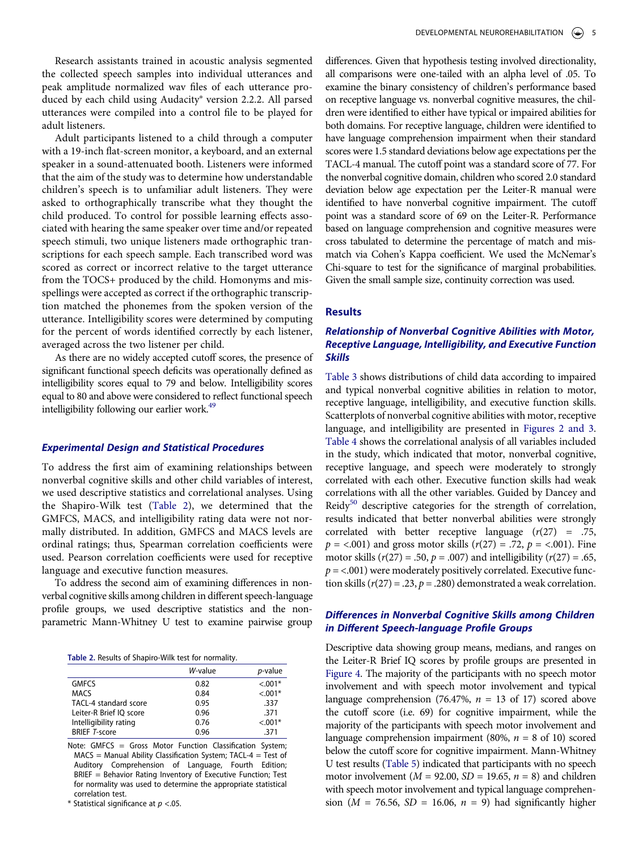Research assistants trained in acoustic analysis segmented the collected speech samples into individual utterances and peak amplitude normalized wav files of each utterance produced by each child using Audacity® version 2.2.2. All parsed utterances were compiled into a control file to be played for adult listeners.

Adult participants listened to a child through a computer with a 19-inch flat-screen monitor, a keyboard, and an external speaker in a sound-attenuated booth. Listeners were informed that the aim of the study was to determine how understandable children's speech is to unfamiliar adult listeners. They were asked to orthographically transcribe what they thought the child produced. To control for possible learning effects associated with hearing the same speaker over time and/or repeated speech stimuli, two unique listeners made orthographic transcriptions for each speech sample. Each transcribed word was scored as correct or incorrect relative to the target utterance from the TOCS+ produced by the child. Homonyms and misspellings were accepted as correct if the orthographic transcription matched the phonemes from the spoken version of the utterance. Intelligibility scores were determined by computing for the percent of words identified correctly by each listener, averaged across the two listener per child.

As there are no widely accepted cutoff scores, the presence of significant functional speech deficits was operationally defined as intelligibility scores equal to 79 and below. Intelligibility scores equal to 80 and above were considered to reflect functional speech intelligibility following our earlier work.<sup>49</sup>

#### <span id="page-5-1"></span>*Experimental Design and Statistical Procedures*

To address the first aim of examining relationships between nonverbal cognitive skills and other child variables of interest, we used descriptive statistics and correlational analyses. Using the Shapiro-Wilk test ([Table 2](#page-5-0)), we determined that the GMFCS, MACS, and intelligibility rating data were not normally distributed. In addition, GMFCS and MACS levels are ordinal ratings; thus, Spearman correlation coefficients were used. Pearson correlation coefficients were used for receptive language and executive function measures.

To address the second aim of examining differences in nonverbal cognitive skills among children in different speech-language profile groups, we used descriptive statistics and the nonparametric Mann-Whitney U test to examine pairwise group

<span id="page-5-0"></span>**Table 2.** Results of Shapiro-Wilk test for normality.

|                         | W-value | p-value   |
|-------------------------|---------|-----------|
| <b>GMFCS</b>            | 0.82    | $< 0.01*$ |
| <b>MACS</b>             | 0.84    | $< 0.01*$ |
| TACL-4 standard score   | 0.95    | .337      |
| Leiter-R Brief IO score | 0.96    | .371      |
| Intelligibility rating  | 0.76    | $< 0.01*$ |
| <b>BRIEF T-score</b>    | 0.96    | .371      |
|                         |         |           |

Note: GMFCS = Gross Motor Function Classification System; MACS = Manual Ability Classification System; TACL-4 = Test of Auditory Comprehension of Language, Fourth Edition; BRIEF = Behavior Rating Inventory of Executive Function; Test for normality was used to determine the appropriate statistical correlation test.

\* Statistical significance at *p* <.05.

differences. Given that hypothesis testing involved directionality, all comparisons were one-tailed with an alpha level of .05. To examine the binary consistency of children's performance based on receptive language vs. nonverbal cognitive measures, the children were identified to either have typical or impaired abilities for both domains. For receptive language, children were identified to have language comprehension impairment when their standard scores were 1.5 standard deviations below age expectations per the TACL-4 manual. The cutoff point was a standard score of 77. For the nonverbal cognitive domain, children who scored 2.0 standard deviation below age expectation per the Leiter-R manual were identified to have nonverbal cognitive impairment. The cutoff point was a standard score of 69 on the Leiter-R. Performance based on language comprehension and cognitive measures were cross tabulated to determine the percentage of match and mismatch via Cohen's Kappa coefficient. We used the McNemar's Chi-square to test for the significance of marginal probabilities. Given the small sample size, continuity correction was used.

# **Results**

# *Relationship of Nonverbal Cognitive Abilities with Motor, Receptive Language, Intelligibility, and Executive Function Skills*

[Table 3](#page-6-0) shows distributions of child data according to impaired and typical nonverbal cognitive abilities in relation to motor, receptive language, intelligibility, and executive function skills. Scatterplots of nonverbal cognitive abilities with motor, receptive language, and intelligibility are presented in [Figures 2 and 3.](#page-6-1) [Table 4](#page-7-0) shows the correlational analysis of all variables included in the study, which indicated that motor, nonverbal cognitive, receptive language, and speech were moderately to strongly correlated with each other. Executive function skills had weak correlations with all the other variables. Guided by Dancey and Reidy<sup>50</sup> descriptive categories for the strength of correlation, results indicated that better nonverbal abilities were strongly correlated with better receptive language (*r*(27) = .75,  $p = <.001$ ) and gross motor skills ( $r(27) = .72$ ,  $p = <.001$ ). Fine motor skills ( $r(27) = .50$ ,  $p = .007$ ) and intelligibility ( $r(27) = .65$ ,  $p =$ <.001) were moderately positively correlated. Executive function skills  $(r(27) = .23, p = .280)$  demonstrated a weak correlation.

# <span id="page-5-2"></span>*Differences in Nonverbal Cognitive Skills among Children in Different Speech-language Profile Groups*

Descriptive data showing group means, medians, and ranges on the Leiter-R Brief IQ scores by profile groups are presented in [Figure 4](#page-7-1). The majority of the participants with no speech motor involvement and with speech motor involvement and typical language comprehension (76.47%,  $n = 13$  of 17) scored above the cutoff score (i.e. 69) for cognitive impairment, while the majority of the participants with speech motor involvement and language comprehension impairment (80%,  $n = 8$  of 10) scored below the cutoff score for cognitive impairment. Mann-Whitney U test results [\(Table 5](#page-8-0)) indicated that participants with no speech motor involvement  $(M = 92.00, SD = 19.65, n = 8)$  and children with speech motor involvement and typical language comprehension ( $M = 76.56$ ,  $SD = 16.06$ ,  $n = 9$ ) had significantly higher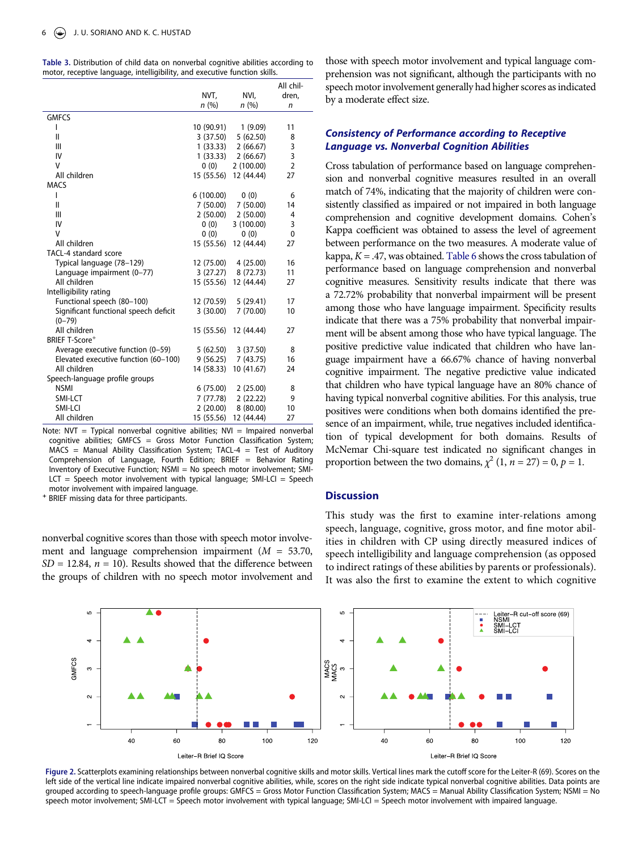<span id="page-6-0"></span>

| Table 3. Distribution of child data on nonverbal cognitive abilities according to |  |  |  |  |
|-----------------------------------------------------------------------------------|--|--|--|--|
| motor, receptive language, intelligibility, and executive function skills.        |  |  |  |  |

|                                                     |            |            | All chil-      |
|-----------------------------------------------------|------------|------------|----------------|
|                                                     | NVT,       | NVI,       | dren,          |
|                                                     | n(%)       | n(%)       | n              |
| <b>GMFCS</b>                                        |            |            |                |
| ı                                                   | 10 (90.91) | 1(9.09)    | 11             |
| $\mathbf{II}$                                       | 3 (37.50)  | 5(62.50)   | 8              |
| Ш                                                   | 1(33.33)   | 2(66.67)   | 3              |
| IV                                                  | 1(33.33)   | 2(66.67)   | 3              |
| V                                                   | 0(0)       | 2(100.00)  | $\overline{2}$ |
| All children                                        | 15 (55.56) | 12 (44.44) | 27             |
| <b>MACS</b>                                         |            |            |                |
| ı                                                   | 6(100.00)  | 0(0)       | 6              |
| $\mathbf{II}$                                       | 7 (50.00)  | 7(50.00)   | 14             |
| Ш                                                   | 2(50.00)   | 2(50.00)   | 4              |
| IV                                                  | 0(0)       | 3(100.00)  | 3              |
| V                                                   | 0(0)       | 0(0)       | 0              |
| All children                                        | 15 (55.56) | 12 (44.44) | 27             |
| TACL-4 standard score                               |            |            |                |
| Typical language (78-129)                           | 12 (75.00) | 4(25.00)   | 16             |
| Language impairment (0-77)                          | 3 (27.27)  | 8(72.73)   | 11             |
| All children                                        | 15 (55.56) | 12 (44.44) | 27             |
| Intelligibility rating                              |            |            |                |
| Functional speech (80-100)                          | 12 (70.59) | 5(29.41)   | 17             |
| Significant functional speech deficit<br>$(0 - 79)$ | 3(30.00)   | 7(70.00)   | 10             |
| All children                                        | 15 (55.56) | 12 (44.44) | 27             |
| <b>BRIEF T-Score<sup>+</sup></b>                    |            |            |                |
| Average executive function (0-59)                   | 5 (62.50)  | 3(37.50)   | 8              |
| Elevated executive function (60-100)                | 9(56.25)   | 7(43.75)   | 16             |
| All children                                        | 14 (58.33) | 10 (41.67) | 24             |
| Speech-language profile groups                      |            |            |                |
| <b>NSMI</b>                                         | 6(75.00)   | 2(25.00)   | 8              |
| SMI-LCT                                             | 7 (77.78)  | 2(22.22)   | 9              |
| SMI-LCI                                             | 2(20.00)   | 8(80.00)   | 10             |
| All children                                        | 15 (55.56) | 12 (44.44) | 27             |

Note:  $NVT = Typical nonverbal cognitive abilities; NVI = Impaired nonverbal$ cognitive abilities;  $GMFCS = Gross Motor Function Classification System$ ;  $MACS = Manual$  Ability Classification System; TACL-4 = Test of Auditory Comprehension of Language, Fourth Edition; BRIEF = Behavior Rating Inventory of Executive Function; NSMI = No speech motor involvement; SMI- $LCT =$  Speech motor involvement with typical language; SMI-LCI = Speech motor involvement with impaired language. **+** BRIEF missing data for three participants.

nonverbal cognitive scores than those with speech motor involvement and language comprehension impairment (*M* = 53.70,  $SD = 12.84$ ,  $n = 10$ ). Results showed that the difference between the groups of children with no speech motor involvement and those with speech motor involvement and typical language comprehension was not significant, although the participants with no speech motor involvement generally had higher scores as indicated by a moderate effect size.

# *Consistency of Performance according to Receptive Language vs. Nonverbal Cognition Abilities*

Cross tabulation of performance based on language comprehension and nonverbal cognitive measures resulted in an overall match of 74%, indicating that the majority of children were consistently classified as impaired or not impaired in both language comprehension and cognitive development domains. Cohen's Kappa coefficient was obtained to assess the level of agreement between performance on the two measures. A moderate value of kappa, *Κ =* .47, was obtained. [Table 6](#page-8-1) shows the cross tabulation of performance based on language comprehension and nonverbal cognitive measures. Sensitivity results indicate that there was a 72.72% probability that nonverbal impairment will be present among those who have language impairment. Specificity results indicate that there was a 75% probability that nonverbal impairment will be absent among those who have typical language. The positive predictive value indicated that children who have language impairment have a 66.67% chance of having nonverbal cognitive impairment. The negative predictive value indicated that children who have typical language have an 80% chance of having typical nonverbal cognitive abilities. For this analysis, true positives were conditions when both domains identified the presence of an impairment, while, true negatives included identification of typical development for both domains. Results of McNemar Chi-square test indicated no significant changes in proportion between the two domains,  $\chi^2$  (1, *n* = 27) = 0, *p* = 1.

# **Discussion**

This study was the first to examine inter-relations among speech, language, cognitive, gross motor, and fine motor abilities in children with CP using directly measured indices of speech intelligibility and language comprehension (as opposed to indirect ratings of these abilities by parents or professionals). It was also the first to examine the extent to which cognitive

<span id="page-6-1"></span>

**Figure 2.** Scatterplots examining relationships between nonverbal cognitive skills and motor skills. Vertical lines mark the cutoff score for the Leiter-R (69). Scores on the left side of the vertical line indicate impaired nonverbal cognitive abilities, while, scores on the right side indicate typical nonverbal cognitive abilities. Data points are grouped according to speech-language profile groups: GMFCS = Gross Motor Function Classification System; MACS = Manual Ability Classification System; NSMI = No speech motor involvement; SMI-LCT = Speech motor involvement with typical language; SMI-LCI = Speech motor involvement with impaired language.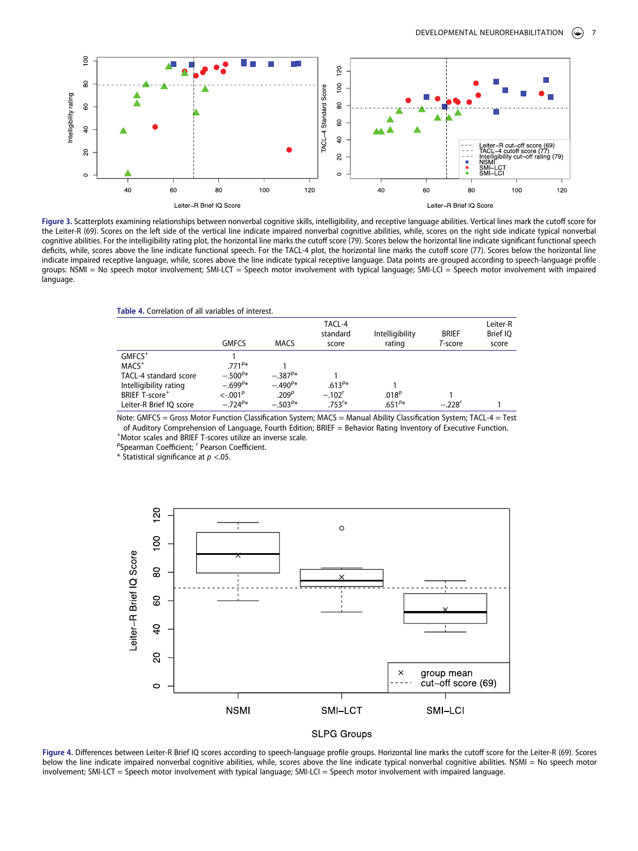

Figure 3. Scatterplots examining relationships between nonverbal cognitive skills, intelligibility, and receptive language abilities. Vertical lines mark the cutoff score for the Leiter-R (69). Scores on the left side of the vertical line indicate impaired nonverbal cognitive abilities, while, scores on the right side indicate typical nonverbal cognitive abilities. For the intelligibility rating plot, the horizontal line marks the cutoff score (79). Scores below the horizontal line indicate significant functional speech deficits, while, scores above the line indicate functional speech. For the TACL-4 plot, the horizontal line marks the cutoff score (77). Scores below the horizontal line indicate impaired receptive language, while, scores above the line indicate typical receptive language. Data points are grouped according to speech-language profile groups: NSMI = No speech motor involvement; SMI-LCT = Speech motor involvement with typical language; SMI-LCI = Speech motor involvement with impaired language.

<span id="page-7-0"></span>

| Table 4. Correlation of all variables of interest. |
|----------------------------------------------------|
|----------------------------------------------------|

|                                                                                                                  | <b>GMFCS</b>                                                    | <b>MACS</b>                                          | TACL-4<br>standard<br>score | Intelligibility<br>rating | <b>BRIEF</b><br>T-score | Leiter-R<br>Brief IQ<br>score |
|------------------------------------------------------------------------------------------------------------------|-----------------------------------------------------------------|------------------------------------------------------|-----------------------------|---------------------------|-------------------------|-------------------------------|
| $GMFCS$ <sup>+</sup><br>$MACS+$<br>TACL-4 standard score<br>Intelligibility rating<br>BRIEF T-score <sup>+</sup> | $.771^{p*}$<br>$-.500^{P*}$<br>$-.699^{p*}$<br>$<-.001^{\circ}$ | $-.387^{P*}$<br>$-.490^{\rho*}$<br>.209 <sup>°</sup> | $.613^{p*}$<br>$-.102'$     | .018 <sup>p</sup>         |                         |                               |
| Leiter-R Brief IQ score                                                                                          | $-.724^{p*}$                                                    | $-.503^{P*}$                                         | $.753^{r*}$                 | $.651^{P*}$               | $-.228'$                |                               |

Note: GMFCS = Gross Motor Function Classification System; MACS = Manual Ability Classification System; TACL-4 = Test of Auditory Comprehension of Language, Fourth Edition; BRIEF = Behavior Rating Inventory of Executive Function. + Motor scales and BRIEF T-scores utilize an inverse scale. ρ

Spearman Coefficient; *r* Pearson Coefficient.

\* Statistical significance at *p* <.05.

<span id="page-7-1"></span>



**Figure 4.** Differences between Leiter-R Brief IQ scores according to speech-language profile groups. Horizontal line marks the cutoff score for the Leiter-R (69). Scores below the line indicate impaired nonverbal cognitive abilities, while, scores above the line indicate typical nonverbal cognitive abilities. NSMI = No speech motor involvement; SMI-LCT = Speech motor involvement with typical language; SMI-LCI = Speech motor involvement with impaired language.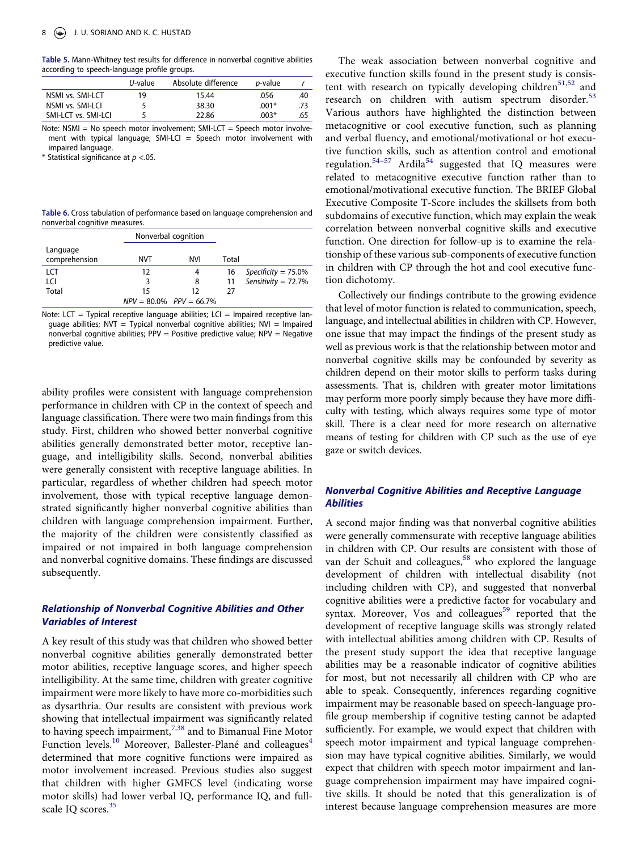<span id="page-8-0"></span>**Table 5.** Mann-Whitney test results for difference in nonverbal cognitive abilities according to speech-language profile groups.

|                     | <i>U</i> -value | Absolute difference | <i>p</i> -value |     |
|---------------------|-----------------|---------------------|-----------------|-----|
| NSMI vs. SMI-LCT    | 19              | 15.44               | .056            | .40 |
| NSMI vs. SMI-LCI    |                 | 38.30               | $.001*$         | .73 |
| SMI-LCT vs. SMI-LCI |                 | 22.86               | $.003*$         | .65 |

Note: NSMI = No speech motor involvement; SMI-LCT = Speech motor involvement with typical language; SMI-LCI  $=$  Speech motor involvement with impaired language.

\* Statistical significance at *p* <.05.

<span id="page-8-1"></span>**Table 6.** Cross tabulation of performance based on language comprehension and nonverbal cognitive measures.

|                           |     | Nonverbal cognition           |       |                        |
|---------------------------|-----|-------------------------------|-------|------------------------|
| Language<br>comprehension | NVT | NVI                           | Total |                        |
| LCT                       | 12  | 4                             | 16    | Specificity = $75.0\%$ |
| LCI                       | 3   | 8                             | 11    | Sensitivity = $72.7\%$ |
| Total                     | 15  | 12                            | 27    |                        |
|                           |     | $NPV = 80.0\%$ $PPV = 66.7\%$ |       |                        |

Note: LCT = Typical receptive language abilities; LCI = Impaired receptive language abilities;  $NVT = Typical$  nonverbal cognitive abilities;  $NVI = Impaired$ nonverbal cognitive abilities;  $PPV = Positive\$  predictive value;  $NPV = Negative$ predictive value.

ability profiles were consistent with language comprehension performance in children with CP in the context of speech and language classification. There were two main findings from this study. First, children who showed better nonverbal cognitive abilities generally demonstrated better motor, receptive language, and intelligibility skills. Second, nonverbal abilities were generally consistent with receptive language abilities. In particular, regardless of whether children had speech motor involvement, those with typical receptive language demonstrated significantly higher nonverbal cognitive abilities than children with language comprehension impairment. Further, the majority of the children were consistently classified as impaired or not impaired in both language comprehension and nonverbal cognitive domains. These findings are discussed subsequently.

# *Relationship of Nonverbal Cognitive Abilities and Other Variables of Interest*

<span id="page-8-2"></span>A key result of this study was that children who showed better nonverbal cognitive abilities generally demonstrated better motor abilities, receptive language scores, and higher speech intelligibility. At the same time, children with greater cognitive impairment were more likely to have more co-morbidities such as dysarthria. Our results are consistent with previous work showing that intellectual impairment was significantly related to having speech impairment,<sup>[7](#page-10-11),38</sup> and to Bimanual Fine Motor Function levels.<sup>[10](#page-10-7)</sup> Moreover, Ballester-Plané and colleagues<sup>4</sup> determined that more cognitive functions were impaired as motor involvement increased. Previous studies also suggest that children with higher GMFCS level (indicating worse motor skills) had lower verbal IQ, performance IQ, and fullscale IQ scores.<sup>35</sup>

<span id="page-8-5"></span><span id="page-8-4"></span><span id="page-8-3"></span>The weak association between nonverbal cognitive and executive function skills found in the present study is consis-tent with research on typically developing children<sup>[51](#page-12-1)[,52](#page-12-2)</sup> and research on children with autism spectrum disorder.<sup>[53](#page-12-3)</sup> Various authors have highlighted the distinction between metacognitive or cool executive function, such as planning and verbal fluency, and emotional/motivational or hot executive function skills, such as attention control and emotional regulation.<sup>54-57</sup> Ardila<sup>54</sup> suggested that IQ measures were related to metacognitive executive function rather than to emotional/motivational executive function. The BRIEF Global Executive Composite T-Score includes the skillsets from both subdomains of executive function, which may explain the weak correlation between nonverbal cognitive skills and executive function. One direction for follow-up is to examine the relationship of these various sub-components of executive function in children with CP through the hot and cool executive function dichotomy.

Collectively our findings contribute to the growing evidence that level of motor function is related to communication, speech, language, and intellectual abilities in children with CP. However, one issue that may impact the findings of the present study as well as previous work is that the relationship between motor and nonverbal cognitive skills may be confounded by severity as children depend on their motor skills to perform tasks during assessments. That is, children with greater motor limitations may perform more poorly simply because they have more difficulty with testing, which always requires some type of motor skill. There is a clear need for more research on alternative means of testing for children with CP such as the use of eye gaze or switch devices.

# *Nonverbal Cognitive Abilities and Receptive Language Abilities*

<span id="page-8-7"></span><span id="page-8-6"></span>A second major finding was that nonverbal cognitive abilities were generally commensurate with receptive language abilities in children with CP. Our results are consistent with those of van der Schuit and colleagues,<sup>58</sup> who explored the language development of children with intellectual disability (not including children with CP), and suggested that nonverbal cognitive abilities were a predictive factor for vocabulary and syntax. Moreover, Vos and colleagues<sup>59</sup> reported that the development of receptive language skills was strongly related with intellectual abilities among children with CP. Results of the present study support the idea that receptive language abilities may be a reasonable indicator of cognitive abilities for most, but not necessarily all children with CP who are able to speak. Consequently, inferences regarding cognitive impairment may be reasonable based on speech-language profile group membership if cognitive testing cannot be adapted sufficiently. For example, we would expect that children with speech motor impairment and typical language comprehension may have typical cognitive abilities. Similarly, we would expect that children with speech motor impairment and language comprehension impairment may have impaired cognitive skills. It should be noted that this generalization is of interest because language comprehension measures are more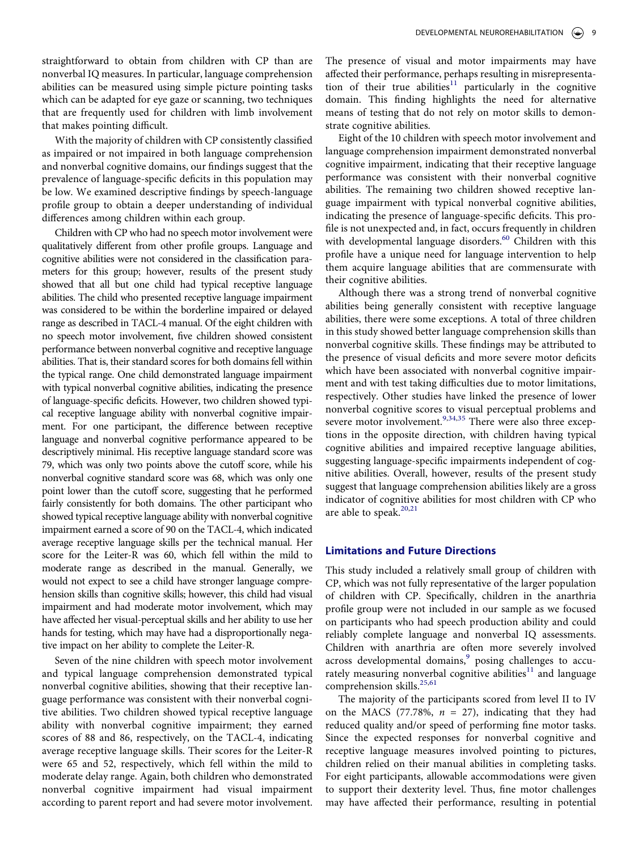straightforward to obtain from children with CP than are nonverbal IQ measures. In particular, language comprehension abilities can be measured using simple picture pointing tasks which can be adapted for eye gaze or scanning, two techniques that are frequently used for children with limb involvement that makes pointing difficult.

With the majority of children with CP consistently classified as impaired or not impaired in both language comprehension and nonverbal cognitive domains, our findings suggest that the prevalence of language-specific deficits in this population may be low. We examined descriptive findings by speech-language profile group to obtain a deeper understanding of individual differences among children within each group.

Children with CP who had no speech motor involvement were qualitatively different from other profile groups. Language and cognitive abilities were not considered in the classification parameters for this group; however, results of the present study showed that all but one child had typical receptive language abilities. The child who presented receptive language impairment was considered to be within the borderline impaired or delayed range as described in TACL-4 manual. Of the eight children with no speech motor involvement, five children showed consistent performance between nonverbal cognitive and receptive language abilities. That is, their standard scores for both domains fell within the typical range. One child demonstrated language impairment with typical nonverbal cognitive abilities, indicating the presence of language-specific deficits. However, two children showed typical receptive language ability with nonverbal cognitive impairment. For one participant, the difference between receptive language and nonverbal cognitive performance appeared to be descriptively minimal. His receptive language standard score was 79, which was only two points above the cutoff score, while his nonverbal cognitive standard score was 68, which was only one point lower than the cutoff score, suggesting that he performed fairly consistently for both domains. The other participant who showed typical receptive language ability with nonverbal cognitive impairment earned a score of 90 on the TACL-4, which indicated average receptive language skills per the technical manual. Her score for the Leiter-R was 60, which fell within the mild to moderate range as described in the manual. Generally, we would not expect to see a child have stronger language comprehension skills than cognitive skills; however, this child had visual impairment and had moderate motor involvement, which may have affected her visual-perceptual skills and her ability to use her hands for testing, which may have had a disproportionally negative impact on her ability to complete the Leiter-R.

Seven of the nine children with speech motor involvement and typical language comprehension demonstrated typical nonverbal cognitive abilities, showing that their receptive language performance was consistent with their nonverbal cognitive abilities. Two children showed typical receptive language ability with nonverbal cognitive impairment; they earned scores of 88 and 86, respectively, on the TACL-4, indicating average receptive language skills. Their scores for the Leiter-R were 65 and 52, respectively, which fell within the mild to moderate delay range. Again, both children who demonstrated nonverbal cognitive impairment had visual impairment according to parent report and had severe motor involvement.

The presence of visual and motor impairments may have affected their performance, perhaps resulting in misrepresentation of their true abilities<sup>11</sup> particularly in the cognitive domain. This finding highlights the need for alternative means of testing that do not rely on motor skills to demonstrate cognitive abilities.

Eight of the 10 children with speech motor involvement and language comprehension impairment demonstrated nonverbal cognitive impairment, indicating that their receptive language performance was consistent with their nonverbal cognitive abilities. The remaining two children showed receptive language impairment with typical nonverbal cognitive abilities, indicating the presence of language-specific deficits. This profile is not unexpected and, in fact, occurs frequently in children with developmental language disorders.<sup>60</sup> Children with this profile have a unique need for language intervention to help them acquire language abilities that are commensurate with their cognitive abilities.

<span id="page-9-1"></span>Although there was a strong trend of nonverbal cognitive abilities being generally consistent with receptive language abilities, there were some exceptions. A total of three children in this study showed better language comprehension skills than nonverbal cognitive skills. These findings may be attributed to the presence of visual deficits and more severe motor deficits which have been associated with nonverbal cognitive impairment and with test taking difficulties due to motor limitations, respectively. Other studies have linked the presence of lower nonverbal cognitive scores to visual perceptual problems and severe motor involvement.<sup>[9,](#page-10-6)[34](#page-11-10)[,35](#page-11-11)</sup> There were also three exceptions in the opposite direction, with children having typical cognitive abilities and impaired receptive language abilities, suggesting language-specific impairments independent of cognitive abilities. Overall, however, results of the present study suggest that language comprehension abilities likely are a gross indicator of cognitive abilities for most children with CP who are able to speak.<sup>[20](#page-11-1),[21](#page-11-25)</sup>

# <span id="page-9-0"></span>**Limitations and Future Directions**

This study included a relatively small group of children with CP, which was not fully representative of the larger population of children with CP. Specifically, children in the anarthria profile group were not included in our sample as we focused on participants who had speech production ability and could reliably complete language and nonverbal IQ assessments. Children with anarthria are often more severely involved across developmental domains, $9$  posing challenges to accurately measuring nonverbal cognitive abilities $^{11}$  $^{11}$  $^{11}$  and language comprehension skills.<sup>[25](#page-11-4),[61](#page-12-8)</sup>

<span id="page-9-2"></span>The majority of the participants scored from level II to IV on the MACS (77.78%,  $n = 27$ ), indicating that they had reduced quality and/or speed of performing fine motor tasks. Since the expected responses for nonverbal cognitive and receptive language measures involved pointing to pictures, children relied on their manual abilities in completing tasks. For eight participants, allowable accommodations were given to support their dexterity level. Thus, fine motor challenges may have affected their performance, resulting in potential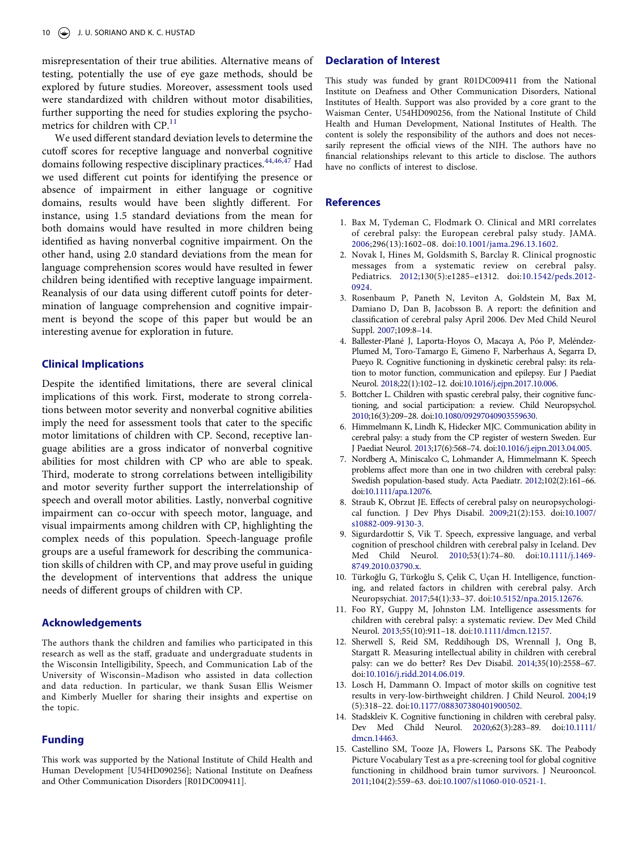misrepresentation of their true abilities. Alternative means of testing, potentially the use of eye gaze methods, should be explored by future studies. Moreover, assessment tools used were standardized with children without motor disabilities, further supporting the need for studies exploring the psycho-metrics for children with CP.<sup>[11](#page-10-8)</sup>

We used different standard deviation levels to determine the cutoff scores for receptive language and nonverbal cognitive domains following respective disciplinary practices.<sup>44[,46](#page-11-20)[,47](#page-11-21)</sup> Had we used different cut points for identifying the presence or absence of impairment in either language or cognitive domains, results would have been slightly different. For instance, using 1.5 standard deviations from the mean for both domains would have resulted in more children being identified as having nonverbal cognitive impairment. On the other hand, using 2.0 standard deviations from the mean for language comprehension scores would have resulted in fewer children being identified with receptive language impairment. Reanalysis of our data using different cutoff points for determination of language comprehension and cognitive impairment is beyond the scope of this paper but would be an interesting avenue for exploration in future.

#### **Clinical Implications**

Despite the identified limitations, there are several clinical implications of this work. First, moderate to strong correlations between motor severity and nonverbal cognitive abilities imply the need for assessment tools that cater to the specific motor limitations of children with CP. Second, receptive language abilities are a gross indicator of nonverbal cognitive abilities for most children with CP who are able to speak. Third, moderate to strong correlations between intelligibility and motor severity further support the interrelationship of speech and overall motor abilities. Lastly, nonverbal cognitive impairment can co-occur with speech motor, language, and visual impairments among children with CP, highlighting the complex needs of this population. Speech-language profile groups are a useful framework for describing the communication skills of children with CP, and may prove useful in guiding the development of interventions that address the unique needs of different groups of children with CP.

## **Acknowledgements**

The authors thank the children and families who participated in this research as well as the staff, graduate and undergraduate students in the Wisconsin Intelligibility, Speech, and Communication Lab of the University of Wisconsin–Madison who assisted in data collection and data reduction. In particular, we thank Susan Ellis Weismer and Kimberly Mueller for sharing their insights and expertise on the topic.

#### **Funding**

This work was supported by the National Institute of Child Health and Human Development [U54HD090256]; National Institute on Deafness and Other Communication Disorders [R01DC009411].

# **Declaration of Interest**

This study was funded by grant R01DC009411 from the National Institute on Deafness and Other Communication Disorders, National Institutes of Health. Support was also provided by a core grant to the Waisman Center, U54HD090256, from the National Institute of Child Health and Human Development, National Institutes of Health. The content is solely the responsibility of the authors and does not necessarily represent the official views of the NIH. The authors have no financial relationships relevant to this article to disclose. The authors have no conflicts of interest to disclose.

#### **References**

- <span id="page-10-0"></span>1. Bax M, Tydeman C, Flodmark O. Clinical and MRI correlates of cerebral palsy: the European cerebral palsy study. JAMA. [2006](#page-1-0);296(13):1602–08. doi:[10.1001/jama.296.13.1602.](https://doi.org/10.1001/jama.296.13.1602)
- <span id="page-10-1"></span>2. Novak I, Hines M, Goldsmith S, Barclay R. Clinical prognostic messages from a systematic review on cerebral palsy. Pediatrics. [2012](#page-1-1);130(5):e1285–e1312. doi:[10.1542/peds.2012-](https://doi.org/10.1542/peds.2012-0924) [0924](https://doi.org/10.1542/peds.2012-0924).
- <span id="page-10-2"></span>3. Rosenbaum P, Paneth N, Leviton A, Goldstein M, Bax M, Damiano D, Dan B, Jacobsson B. A report: the definition and classification of cerebral palsy April 2006. Dev Med Child Neurol Suppl. [2007;](#page-1-2)109:8–14.
- <span id="page-10-3"></span>4. Ballester-Plané J, Laporta-Hoyos O, Macaya A, Póo P, Meléndez-Plumed M, Toro-Tamargo E, Gimeno F, Narberhaus A, Segarra D, Pueyo R. Cognitive functioning in dyskinetic cerebral palsy: its relation to motor function, communication and epilepsy. Eur J Paediat Neurol. [2018](#page-1-3);22(1):102–12. doi:[10.1016/j.ejpn.2017.10.006.](https://doi.org/10.1016/j.ejpn.2017.10.006)
- <span id="page-10-10"></span>5. Bottcher L. Children with spastic cerebral palsy, their cognitive functioning, and social participation: a review. Child Neuropsychol. [2010](#page-2-1);16(3):209–28. doi:[10.1080/09297040903559630.](https://doi.org/10.1080/09297040903559630)
- <span id="page-10-5"></span>6. Himmelmann K, Lindh K, Hidecker MJC. Communication ability in cerebral palsy: a study from the CP register of western Sweden. Eur J Paediat Neurol. [2013;](#page-1-4)17(6):568–74. doi:[10.1016/j.ejpn.2013.04.005](https://doi.org/10.1016/j.ejpn.2013.04.005).
- <span id="page-10-11"></span>7. Nordberg A, Miniscalco C, Lohmander A, Himmelmann K. Speech problems affect more than one in two children with cerebral palsy: Swedish population-based study. Acta Paediatr. [2012;](#page-2-2)102(2):161–66. doi:[10.1111/apa.12076](https://doi.org/10.1111/apa.12076).
- <span id="page-10-4"></span>8. Straub K, Obrzut JE. Effects of cerebral palsy on neuropsychological function. J Dev Phys Disabil. [2009;](#page-1-5)21(2):153. doi:[10.1007/](https://doi.org/10.1007/s10882-009-9130-3)  [s10882-009-9130-3.](https://doi.org/10.1007/s10882-009-9130-3)
- <span id="page-10-6"></span>9. Sigurdardottir S, Vik T. Speech, expressive language, and verbal cognition of preschool children with cerebral palsy in Iceland. Dev Med Child Neurol. [2010;](#page-1-4)53(1):74–80. doi:[10.1111/j.1469-](https://doi.org/10.1111/j.1469-8749.2010.03790.x)  [8749.2010.03790.x](https://doi.org/10.1111/j.1469-8749.2010.03790.x).
- <span id="page-10-7"></span>10. Türkoğlu G, Türkoğlu S, Çelik C, Uçan H. Intelligence, functioning, and related factors in children with cerebral palsy. Arch Neuropsychiat. [2017](#page-1-4);54(1):33–37. doi:[10.5152/npa.2015.12676.](https://doi.org/10.5152/npa.2015.12676)
- <span id="page-10-8"></span>11. Foo RY, Guppy M, Johnston LM. Intelligence assessments for children with cerebral palsy: a systematic review. Dev Med Child Neurol. [2013](#page-1-6);55(10):911–18. doi:[10.1111/dmcn.12157.](https://doi.org/10.1111/dmcn.12157)
- 12. Sherwell S, Reid SM, Reddihough DS, Wrennall J, Ong B, Stargatt R. Measuring intellectual ability in children with cerebral palsy: can we do better? Res Dev Disabil. 2014;35(10):2558–67. doi:[10.1016/j.ridd.2014.06.019.](https://doi.org/10.1016/j.ridd.2014.06.019)
- 13. Losch H, Dammann O. Impact of motor skills on cognitive test results in very-low-birthweight children. J Child Neurol. 2004;19 (5):318–22. doi:[10.1177/088307380401900502](https://doi.org/10.1177/088307380401900502).
- 14. Stadskleiv K. Cognitive functioning in children with cerebral palsy. Dev Med Child Neurol. 2020;62(3):283–89. doi:[10.1111/](https://doi.org/10.1111/dmcn.14463)  [dmcn.14463.](https://doi.org/10.1111/dmcn.14463)
- <span id="page-10-9"></span>15. Castellino SM, Tooze JA, Flowers L, Parsons SK. The Peabody Picture Vocabulary Test as a pre-screening tool for global cognitive functioning in childhood brain tumor survivors. J Neurooncol. [2011;](#page-1-7)104(2):559–63. doi:[10.1007/s11060-010-0521-1](https://doi.org/10.1007/s11060-010-0521-1).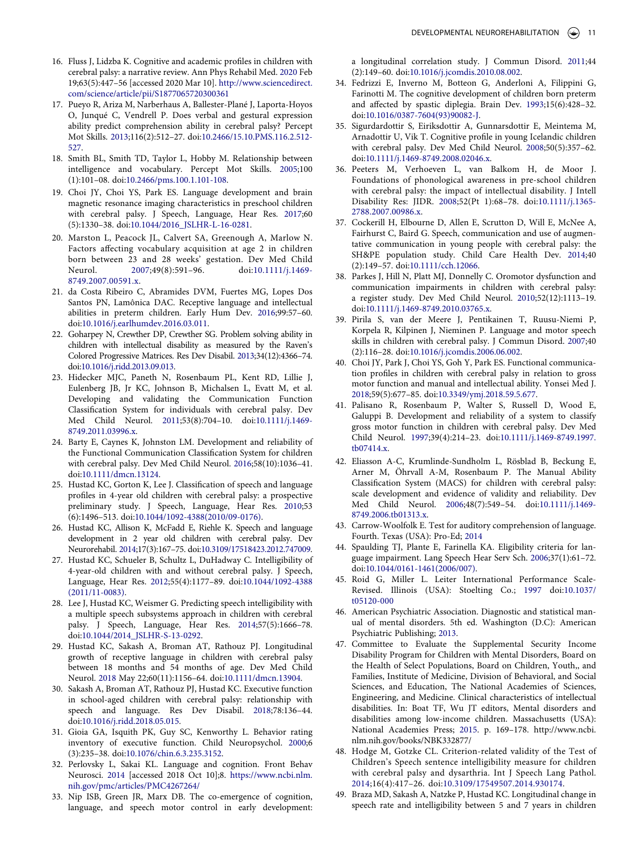- <span id="page-11-0"></span>16. Fluss J, Lidzba K. Cognitive and academic profiles in children with cerebral palsy: a narrative review. Ann Phys Rehabil Med. [2020](#page-1-8) Feb 19;63(5):447–56 [accessed 2020 Mar 10]. [http://www.sciencedirect.](http://www.sciencedirect.com/science/article/pii/S1877065720300361) [com/science/article/pii/S1877065720300361](http://www.sciencedirect.com/science/article/pii/S1877065720300361)
- 17. Pueyo R, Ariza M, Narberhaus A, Ballester-Plané J, Laporta-Hoyos O, Junqué C, Vendrell P. Does verbal and gestural expression ability predict comprehension ability in cerebral palsy? Percept Mot Skills. 2013;116(2):512–27. doi:[10.2466/15.10.PMS.116.2.512-](https://doi.org/10.2466/15.10.PMS.116.2.512-527)  [527.](https://doi.org/10.2466/15.10.PMS.116.2.512-527)
- 18. Smith BL, Smith TD, Taylor L, Hobby M. Relationship between intelligence and vocabulary. Percept Mot Skills. 2005;100 (1):101–08. doi:[10.2466/pms.100.1.101-108.](https://doi.org/10.2466/pms.100.1.101-108)
- 19. Choi JY, Choi YS, Park ES. Language development and brain magnetic resonance imaging characteristics in preschool children with cerebral palsy. J Speech, Language, Hear Res. 2017;60 (5):1330–38. doi:[10.1044/2016\\_JSLHR-L-16-0281.](https://doi.org/10.1044/2016_JSLHR-L-16-0281)
- <span id="page-11-1"></span>20. Marston L, Peacock JL, Calvert SA, Greenough A, Marlow N. Factors affecting vocabulary acquisition at age 2 in children born between 23 and 28 weeks' gestation. Dev Med Child Neurol. [2007](#page-1-9);49(8):591–96. doi:[10.1111/j.1469-](https://doi.org/10.1111/j.1469-8749.2007.00591.x) [8749.2007.00591.x](https://doi.org/10.1111/j.1469-8749.2007.00591.x).
- <span id="page-11-25"></span>21. da Costa Ribeiro C, Abramides DVM, Fuertes MG, Lopes Dos Santos PN, Lamônica DAC. Receptive language and intellectual abilities in preterm children. Early Hum Dev. [2016](#page-9-0);99:57–60. doi:[10.1016/j.earlhumdev.2016.03.011.](https://doi.org/10.1016/j.earlhumdev.2016.03.011)
- 22. Goharpey N, Crewther DP, Crewther SG. Problem solving ability in children with intellectual disability as measured by the Raven's Colored Progressive Matrices. Res Dev Disabil. 2013;34(12):4366–74. doi:[10.1016/j.ridd.2013.09.013.](https://doi.org/10.1016/j.ridd.2013.09.013)
- <span id="page-11-2"></span>23. Hidecker MJC, Paneth N, Rosenbaum PL, Kent RD, Lillie J, Eulenberg JB, Jr KC, Johnson B, Michalsen L, Evatt M, et al. Developing and validating the Communication Function Classification System for individuals with cerebral palsy. Dev Med Child Neurol. [2011;](#page-1-10)53(8):704–10. doi:[10.1111/j.1469-](https://doi.org/10.1111/j.1469-8749.2011.03996.x)  [8749.2011.03996.x](https://doi.org/10.1111/j.1469-8749.2011.03996.x).
- <span id="page-11-3"></span>24. Barty E, Caynes K, Johnston LM. Development and reliability of the Functional Communication Classification System for children with cerebral palsy. Dev Med Child Neurol. [2016](#page-1-11);58(10):1036–41. doi:[10.1111/dmcn.13124.](https://doi.org/10.1111/dmcn.13124)
- <span id="page-11-4"></span>25. Hustad KC, Gorton K, Lee J. Classification of speech and language profiles in 4-year old children with cerebral palsy: a prospective preliminary study. J Speech, Language, Hear Res. [2010;](#page-1-12)53 (6):1496–513. doi:[10.1044/1092-4388\(2010/09-0176\)](https://doi.org/10.1044/1092-4388(2010/09-0176)).
- 26. Hustad KC, Allison K, McFadd E, Riehle K. Speech and language development in 2 year old children with cerebral palsy. Dev Neurorehabil. 2014;17(3):167–75. doi:[10.3109/17518423.2012.747009](https://doi.org/10.3109/17518423.2012.747009).
- 27. Hustad KC, Schueler B, Schultz L, DuHadway C. Intelligibility of 4-year-old children with and without cerebral palsy. J Speech, Language, Hear Res. 2012;55(4):1177–89. doi:[10.1044/1092-4388](https://doi.org/10.1044/1092-4388(2011/11-0083))  [\(2011/11-0083\).](https://doi.org/10.1044/1092-4388(2011/11-0083))
- 28. Lee J, Hustad KC, Weismer G. Predicting speech intelligibility with a multiple speech subsystems approach in children with cerebral palsy. J Speech, Language, Hear Res. 2014;57(5):1666–78. doi:[10.1044/2014\\_JSLHR-S-13-0292.](https://doi.org/10.1044/2014_JSLHR-S-13-0292)
- <span id="page-11-5"></span>29. Hustad KC, Sakash A, Broman AT, Rathouz PJ. Longitudinal growth of receptive language in children with cerebral palsy between 18 months and 54 months of age. Dev Med Child Neurol. [2018](#page-2-3) May 22;60(11):1156–64. doi:[10.1111/dmcn.13904.](https://doi.org/10.1111/dmcn.13904)
- <span id="page-11-6"></span>30. Sakash A, Broman AT, Rathouz PJ, Hustad KC. Executive function in school-aged children with cerebral palsy: relationship with speech and language. Res Dev Disabil. [2018](#page-2-1);78:136–44. doi:[10.1016/j.ridd.2018.05.015.](https://doi.org/10.1016/j.ridd.2018.05.015)
- <span id="page-11-7"></span>31. Gioia GA, Isquith PK, Guy SC, Kenworthy L. Behavior rating inventory of executive function. Child Neuropsychol. [2000;](#page-2-4)6 (3):235–38. doi:[10.1076/chin.6.3.235.3152](https://doi.org/10.1076/chin.6.3.235.3152).
- <span id="page-11-8"></span>32. Perlovsky L, Sakai KL. Language and cognition. Front Behav Neurosci. [2014](#page-2-5) [accessed 2018 Oct 10];8. [https://www.ncbi.nlm.](https://www.ncbi.nlm.nih.gov/pmc/articles/PMC4267264/) [nih.gov/pmc/articles/PMC4267264/](https://www.ncbi.nlm.nih.gov/pmc/articles/PMC4267264/)
- <span id="page-11-9"></span>33. Nip ISB, Green JR, Marx DB. The co-emergence of cognition, language, and speech motor control in early development:

a longitudinal correlation study. J Commun Disord. [2011;](#page-2-6)44 (2):149–60. doi:[10.1016/j.jcomdis.2010.08.002](https://doi.org/10.1016/j.jcomdis.2010.08.002).

- <span id="page-11-10"></span>34. Fedrizzi E, Inverno M, Botteon G, Anderloni A, Filippini G, Farinotti M. The cognitive development of children born preterm and affected by spastic diplegia. Brain Dev. [1993](#page-2-7);15(6):428–32. doi:[10.1016/0387-7604\(93\)90082-J.](https://doi.org/10.1016/0387-7604(93)90082-J)
- <span id="page-11-11"></span>35. Sigurdardottir S, Eiriksdottir A, Gunnarsdottir E, Meintema M, Arnadottir U, Vik T. Cognitive profile in young Icelandic children with cerebral palsy. Dev Med Child Neurol. [2008](#page-2-7);50(5):357–62. doi:[10.1111/j.1469-8749.2008.02046.x.](https://doi.org/10.1111/j.1469-8749.2008.02046.x)
- <span id="page-11-12"></span>36. Peeters M, Verhoeven L, van Balkom H, de Moor J. Foundations of phonological awareness in pre-school children with cerebral palsy: the impact of intellectual disability. J Intell Disability Res: JIDR. [2008](#page-2-8);52(Pt 1):68–78. doi:[10.1111/j.1365-](https://doi.org/10.1111/j.1365-2788.2007.00986.x) [2788.2007.00986.x.](https://doi.org/10.1111/j.1365-2788.2007.00986.x)
- <span id="page-11-13"></span>37. Cockerill H, Elbourne D, Allen E, Scrutton D, Will E, McNee A, Fairhurst C, Baird G. Speech, communication and use of augmentative communication in young people with cerebral palsy: the SH&PE population study. Child Care Health Dev. [2014;](#page-2-2)40 (2):149–57. doi:[10.1111/cch.12066.](https://doi.org/10.1111/cch.12066)
- <span id="page-11-24"></span>38. Parkes J, Hill N, Platt MJ, Donnelly C. Oromotor dysfunction and communication impairments in children with cerebral palsy: a register study. Dev Med Child Neurol. [2010](#page-8-2);52(12):1113–19. doi:[10.1111/j.1469-8749.2010.03765.x.](https://doi.org/10.1111/j.1469-8749.2010.03765.x)
- 39. Pirila S, van der Meere J, Pentikainen T, Ruusu-Niemi P, Korpela R, Kilpinen J, Nieminen P. Language and motor speech skills in children with cerebral palsy. J Commun Disord. 2007;40 (2):116–28. doi:[10.1016/j.jcomdis.2006.06.002](https://doi.org/10.1016/j.jcomdis.2006.06.002).
- <span id="page-11-14"></span>40. Choi JY, Park J, Choi YS, Goh Y, Park ES. Functional communication profiles in children with cerebral palsy in relation to gross motor function and manual and intellectual ability. Yonsei Med J. [2018;](#page-2-9)59(5):677–85. doi:[10.3349/ymj.2018.59.5.677.](https://doi.org/10.3349/ymj.2018.59.5.677)
- <span id="page-11-15"></span>41. Palisano R, Rosenbaum P, Walter S, Russell D, Wood E, Galuppi B. Development and reliability of a system to classify gross motor function in children with cerebral palsy. Dev Med Child Neurol. [1997;](#page-3-0)39(4):214–23. doi:[10.1111/j.1469-8749.1997.](https://doi.org/10.1111/j.1469-8749.1997.tb07414.x)  [tb07414.x.](https://doi.org/10.1111/j.1469-8749.1997.tb07414.x)
- <span id="page-11-16"></span>42. Eliasson A-C, Krumlinde-Sundholm L, Rösblad B, Beckung E, Arner M, Öhrvall A-M, Rosenbaum P. The Manual Ability Classification System (MACS) for children with cerebral palsy: scale development and evidence of validity and reliability. Dev Med Child Neurol. [2006;](#page-3-1)48(7):549–54. doi:[10.1111/j.1469-](https://doi.org/10.1111/j.1469-8749.2006.tb01313.x)  [8749.2006.tb01313.x](https://doi.org/10.1111/j.1469-8749.2006.tb01313.x).
- <span id="page-11-17"></span>43. Carrow-Woolfolk E. Test for auditory comprehension of language. Fourth. Texas (USA): Pro-Ed; [2014](#page-3-2)
- <span id="page-11-18"></span>44. Spaulding TJ, Plante E, Farinella KA. Eligibility criteria for language impairment. Lang Speech Hear Serv Sch. [2006](#page-4-1);37(1):61–72. doi:[10.1044/0161-1461\(2006/007\).](https://doi.org/10.1044/0161-1461(2006/007))
- <span id="page-11-19"></span>45. Roid G, Miller L. Leiter International Performance Scale-Revised. Illinois (USA): Stoelting Co.; [1997](#page-4-2) doi:[10.1037/](https://doi.org/10.1037/t05120-000) [t05120-000](https://doi.org/10.1037/t05120-000)
- <span id="page-11-20"></span>46. American Psychiatric Association. Diagnostic and statistical manual of mental disorders. 5th ed. Washington (D.C): American Psychiatric Publishing; [2013.](#page-4-3)
- <span id="page-11-21"></span>47. Committee to Evaluate the Supplemental Security Income Disability Program for Children with Mental Disorders, Board on the Health of Select Populations, Board on Children, Youth,, and Families, Institute of Medicine, Division of Behavioral, and Social Sciences, and Education, The National Academies of Sciences, Engineering, and Medicine. Clinical characteristics of intellectual disabilities. In: Boat TF, Wu JT editors, Mental disorders and disabilities among low-income children. Massachusetts (USA): National Academies Press; [2015](#page-4-3). p. 169–178. http://www.ncbi. nlm.nih.gov/books/NBK332877/
- <span id="page-11-22"></span>48. Hodge M, Gotzke CL. Criterion-related validity of the Test of Children's Speech sentence intelligibility measure for children with cerebral palsy and dysarthria. Int J Speech Lang Pathol. [2014](#page-4-4);16(4):417–26. doi:[10.3109/17549507.2014.930174.](https://doi.org/10.3109/17549507.2014.930174)
- <span id="page-11-23"></span>49. Braza MD, Sakash A, Natzke P, Hustad KC. Longitudinal change in speech rate and intelligibility between 5 and 7 years in children